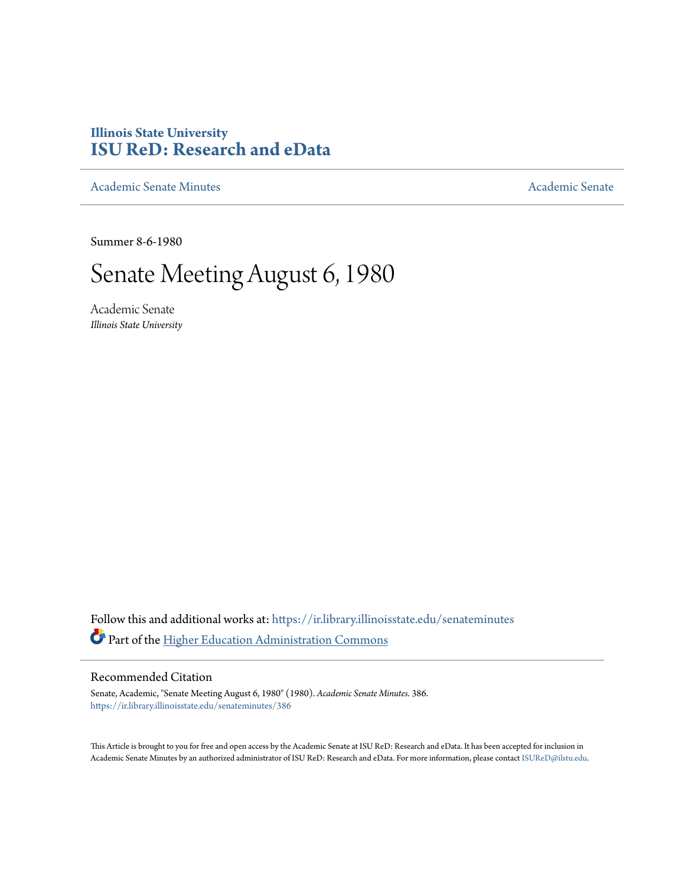## **Illinois State University [ISU ReD: Research and eData](https://ir.library.illinoisstate.edu?utm_source=ir.library.illinoisstate.edu%2Fsenateminutes%2F386&utm_medium=PDF&utm_campaign=PDFCoverPages)**

[Academic Senate Minutes](https://ir.library.illinoisstate.edu/senateminutes?utm_source=ir.library.illinoisstate.edu%2Fsenateminutes%2F386&utm_medium=PDF&utm_campaign=PDFCoverPages) [Academic Senate](https://ir.library.illinoisstate.edu/senate?utm_source=ir.library.illinoisstate.edu%2Fsenateminutes%2F386&utm_medium=PDF&utm_campaign=PDFCoverPages) Academic Senate

Summer 8-6-1980

# Senate Meeting August 6, 1980

Academic Senate *Illinois State University*

Follow this and additional works at: [https://ir.library.illinoisstate.edu/senateminutes](https://ir.library.illinoisstate.edu/senateminutes?utm_source=ir.library.illinoisstate.edu%2Fsenateminutes%2F386&utm_medium=PDF&utm_campaign=PDFCoverPages) Part of the [Higher Education Administration Commons](http://network.bepress.com/hgg/discipline/791?utm_source=ir.library.illinoisstate.edu%2Fsenateminutes%2F386&utm_medium=PDF&utm_campaign=PDFCoverPages)

## Recommended Citation

Senate, Academic, "Senate Meeting August 6, 1980" (1980). *Academic Senate Minutes*. 386. [https://ir.library.illinoisstate.edu/senateminutes/386](https://ir.library.illinoisstate.edu/senateminutes/386?utm_source=ir.library.illinoisstate.edu%2Fsenateminutes%2F386&utm_medium=PDF&utm_campaign=PDFCoverPages)

This Article is brought to you for free and open access by the Academic Senate at ISU ReD: Research and eData. It has been accepted for inclusion in Academic Senate Minutes by an authorized administrator of ISU ReD: Research and eData. For more information, please contact [ISUReD@ilstu.edu.](mailto:ISUReD@ilstu.edu)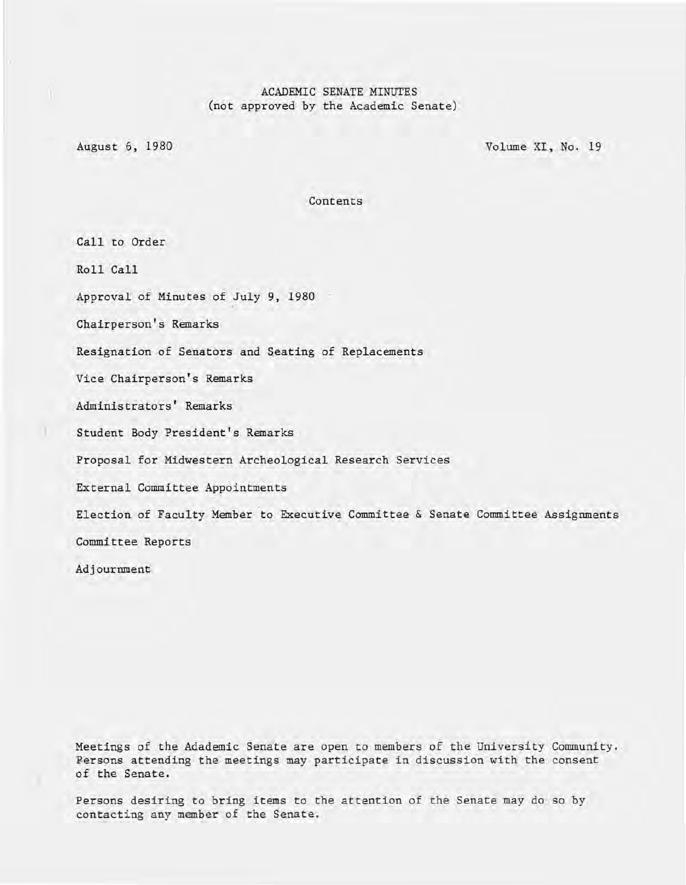## ACADEMIC SENATE MINUTES (not approved by the Academic Senate)

August 6, 1980 Volume XI, No. 19

Contents

Call to Order Roll Call Approval of Minutes of July 9, 1980 Chairperson's Remarks Resignation of Senators and Seating of Replacements Vice Chairperson's Remarks Administrators' Remarks ) Student Body President's Remarks Proposal for Midwestern Archeological Research Services External Committee Appointments Election of Faculty Member to Executive Committee & Senate Committee Assignments Committee Reports Adjournment

Meetings of the Adademic Senate are open to members of the University Community. Fersons attending the meetings may participate in discussion with the consent of the Senate.

Persons desiring to bring items to the attention of the Senate may do so by contacting any member of the Senate.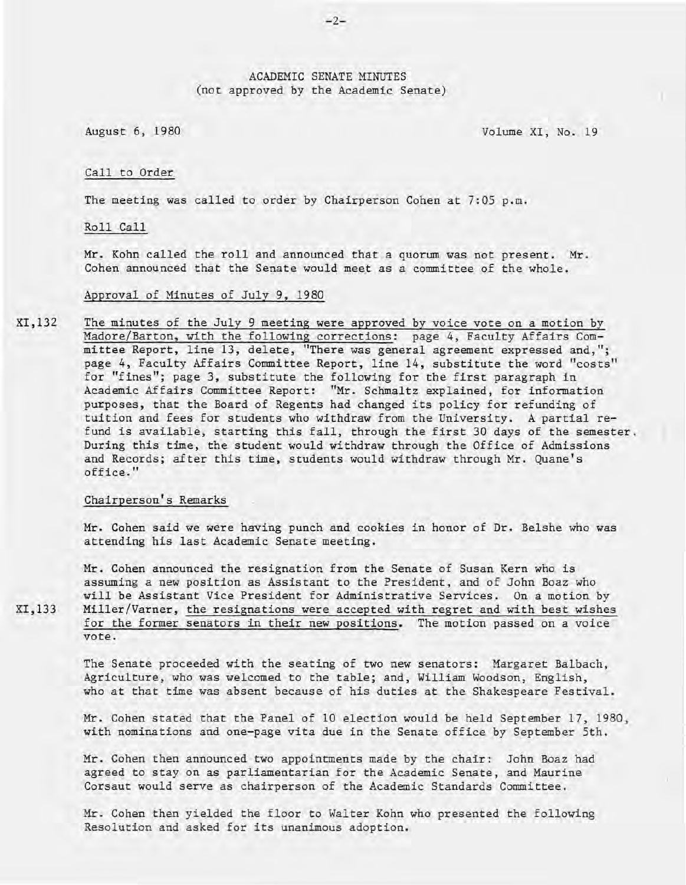## ACADEMIC SENATE MINUTES (not approved by the Academic Senate)

August 6, 1980 Volume XI, No. 19

#### Call to Order

The meeting was called to order by Chairperson Cohen at 7:05 p.m.

Roll Call

Mr. Kohn called the roll and announced that a quorum was not present. Mr. Cohen announced that the Senate would meet as a committee of the whole.

#### Approval of Minutes of July 9, 1980

XI,132 The minutes of the July 9 meeting were approved by voice vote on a motion by Madore/Barton, with the following corrections: page 4, Faculty Affairs Committee Report, line 13, delete, "There was general agreement expressed and,"; page 4, Faculty Affairs Committee Report, line 14, substitute the word "costs" for "fines"; page 3, substitute the following for the first paragraph in Academic Affairs Committee Report: "Mr. Schmaltz explained, for information purposes, that the Board of Regents had changed its policy for refunding of tuition and fees for students who withdraw from the University. A partial refund is available, starting this fall, through the first 30 days of the semester. During this time, the student would withdraw through the Office of Admissions and Records; after this time, students would withdraw through Mr. Quane's office."

#### Chairperson's Remarks

Mr. Cohen said we were having punch and cookies in honor of Dr. Belshe who was attending his last Academic Senate meeting.

Mr. Cohen announced the resignation from the Senate of Susan Kern who is assuming a new position as Assistant to the President, and of John Boaz who will be Assistant Vice President for Administrative Services. On a motion by Miller/Varner, the resignations were accepted with regret and with best wishes for the former senators in their new positions. The motion passed on a voice vote.

The Senate proceeded with the seating of two new senators: Margaret Balbach, Agriculture, who was welcomed to the table; and, William Woodson, English, who at that time was absent because of his duties at the Shakespeare Festival.

Mr. Cohen stated that the Panel of 10 election would be held September 17, 1980, with nominations and one-page vita due in the Senate office by September 5th.

Mr. Cohen then announced two appointments made by the chair: John Boaz had agreed to stay on as parliamentarian for the Academic Senate, and Maurine Corsaut would serve as chairperson of the Academic Standards Committee.

Mr. Cohen then yielded the floor to Walter Kohn who presented the following Resolution and asked for its unanimous adoption.

XI,133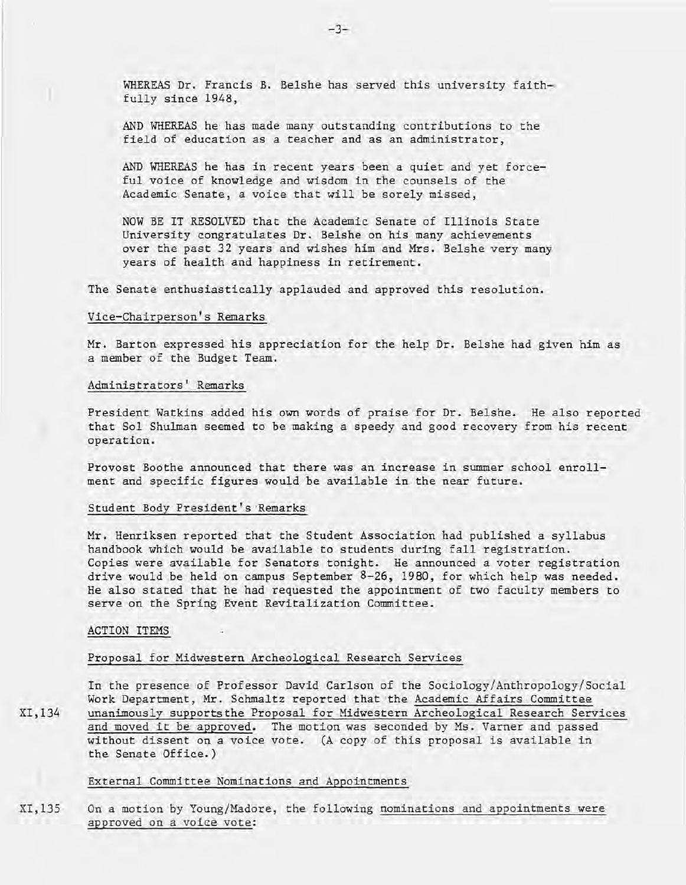WHEREAS Dr. Francis B. Belshe has served this university faithfully since 1948,

AND WHEREAS he has made many outstanding contributions to the field of education as a teacher and as an administrator,

AND WHEREAS he has in recent years been a quiet and yet forceful voice of knowledge and wisdom in the counsels of the Academic Senate, a voice that will be sorely missed,

NOW BE IT RESOLVED that the Academic Senate of Illinois State University congratulates Dr. Belshe on his many achievements over the past 32 years and wishes him and Mrs. Belshe very many years of health and happiness in retirement.

The Senate enthusiastically applauded and approved this resolution.

#### Vice-Chairperson's Remarks

Mr. Barton expressed his appreciation for the help Dr. Belshe had given him as a member of the Budget Team.

## Administrators' Remarks

President Watkins added his own words of praise for Dr. Belshe. He also reported that Sol Shulman seemed to be making a speedy and good recovery from his recent operation.

Provost Boothe announced that there was an increase in summer school enrollment and specific figures would be available in the near future.

#### Student Body President's 'Remarks

Mr. Henriksen reported that the Student Association had published a syllabus handbook which would be available to students during fall registration. Copies were available for Senators tonight. He announced a voter registration drive would be held on campus September 8-26, 1980, for which help was needed. He also stated that he had requested the appointment of two faculty members to serve on the Spring Event Revitalization Committee.

#### ACTION ITEMS

### Proposal for Midwestern Archeological Research Services

XI,134 In the presence of Professor David Carlson of the Sociology/Anthropology/Social Work Department, Mr. Schmaltz reported that the Academic Affairs Committee unanimously supports the Proposal for Midwestern Archeological Research Services and moved it be approved. The motion was seconded by Ms. Varner and passed without dissent on a voice vote. (A copy of this proposal is available in the Senate Office.)

#### External Committee Nominations and Appointments

XI,135 On a motion by Young/Madore, the following nominations and appointments were approved on a voice vote: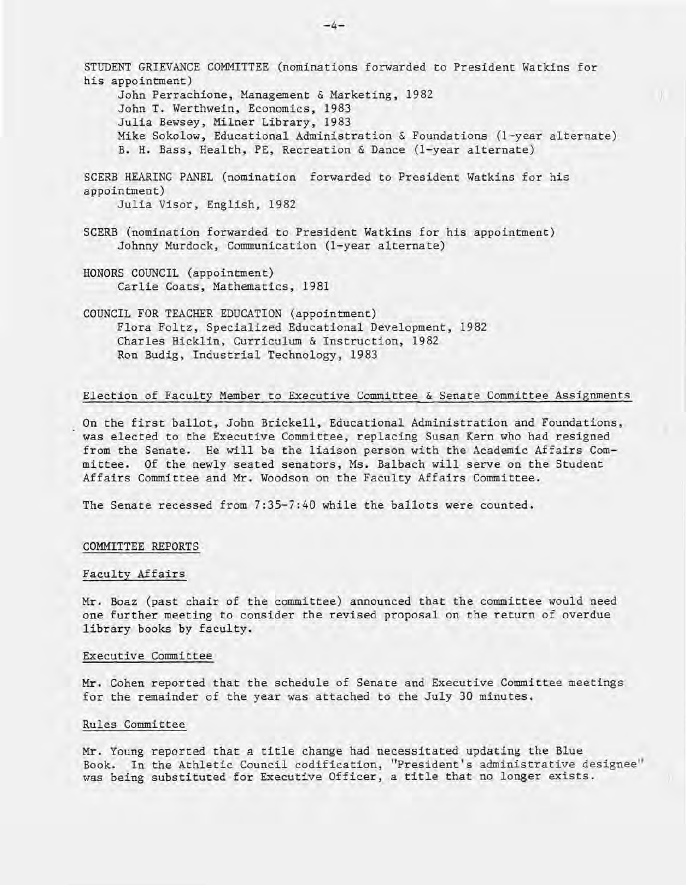STUDENT GRIEVANCE COMMITTEE (nominations forwarded to President Watkins for his appointment) John Perrachione, Management & Marketing, 1982 John T. Werthwein, Economics, 1983 Julia Bewsey, Milner Library, 1983 Mike Sokolow, Educational Administration & Foundations (I-year alternate) B. H. Bass, Health, PE, Recreation & Dance (I-year alternate) SCERB HEARING PANEL (nomination forwarded to President Watkins for his appointment) Julia Visor, English, 1982 SCERB (nomination forwarded to President Watkins for his appointment) Johnny Murdock, Communication (I-year alternate) HONORS COUNCIL (appointment) Carlie Coats, Mathematics, 1981 COUNCIL FOR TEACHER EDUCATION (appointment)

Flora Foltz, Specialized Educational Development, 1982 Charles Hicklin, Curriculum & Instruction, 1982 Ron Budig, Industrial Technology, 1983

#### Election of Faculty Member to Executive Committee & Senate Committee Assignments

On the first ballot, John Brickell, Educational Administration and Foundations, was elected to the Executive Committee, replacing Susan Kern who had resigned from the Senate. He will be the liaison person with the Academic Affairs Committee. Of the newly seated senators, Ms. Balbach will serve on the Student Affairs Committee and Mr. Woodson on the Faculty Affairs Committee.

The Senate recessed from 7:35-7:40 while the ballots were counted.

#### COMMITTEE REPORTS

#### Faculty Affairs

Mr. Boaz (past chair of the committee) announced that the committee would need one further meeting to consider the revised proposal on the return of overdue library books by faculty.

#### Executive Committee

Mr. Cohen reported that the schedule of Senate and Executive Committee meetings for the remainder of the year was attached to the July 30 minutes.

#### Rules Committee

Mr. Young reported that a title change had necessitated updating the Blue Book. In the Athletic Council codification, "President's administrative designee" was being substituted for Executive Officer, a title that no longer exists.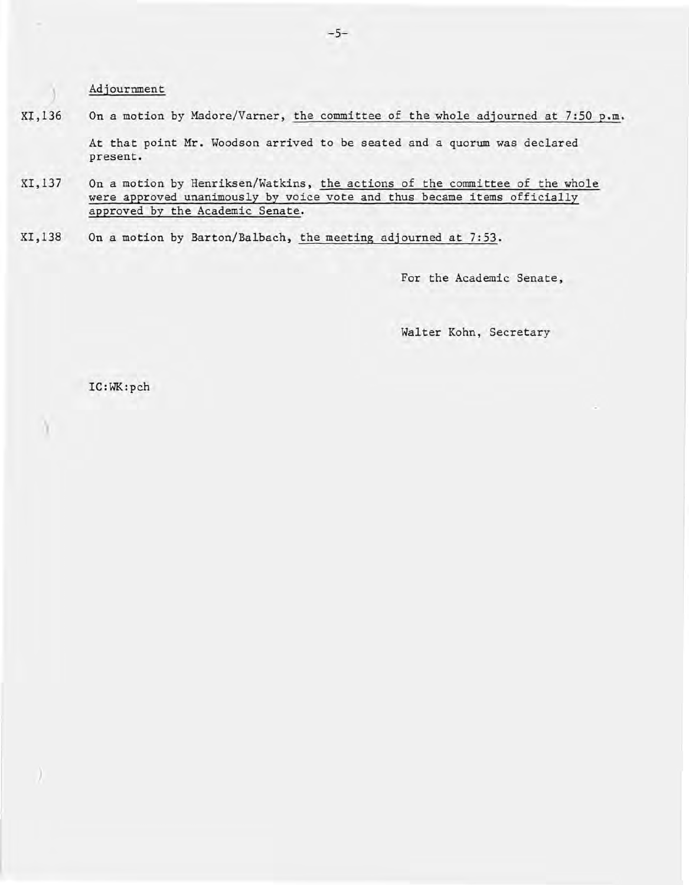Adjournment

present.

)

)

)

XI, 136 On a motion by Madore/Varner, the committee of the whole adjourned at 7:50 p.m. At that point Mr. Woodson arrived to be seated and a quorum was declared

XI,I37 On a motion by Henriksen/Watkins, the actions of the committee of the whole were approved unanimously by voice vote and thus became items officially approved by the Academic Senate.

XI,138 On a motion by Barton/Balbach, the meeting adjourned at 7:53.

For the Academic Senate,

Walter Kohn, Secretary

IC:WK:pch